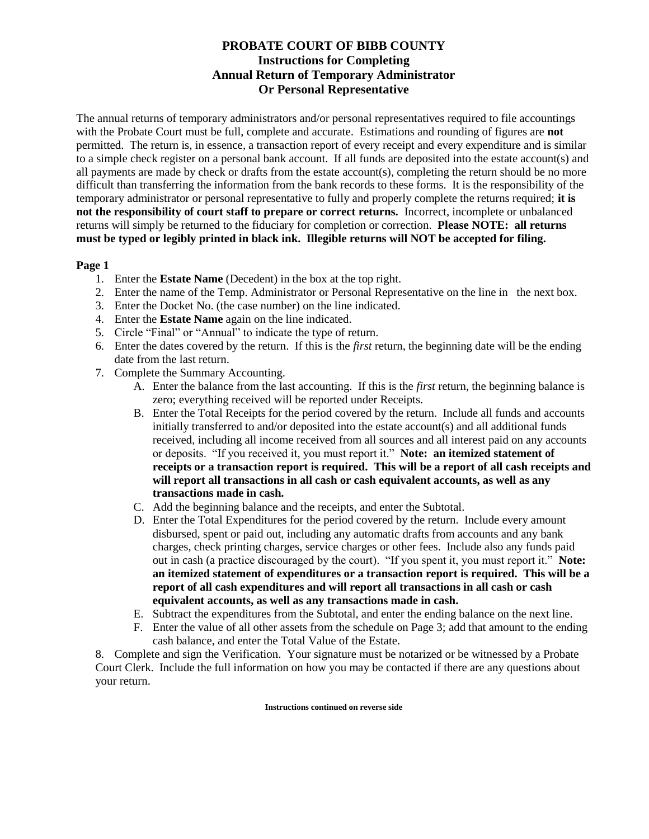# **PROBATE COURT OF BIBB COUNTY Instructions for Completing Annual Return of Temporary Administrator Or Personal Representative**

The annual returns of temporary administrators and/or personal representatives required to file accountings with the Probate Court must be full, complete and accurate. Estimations and rounding of figures are **not**  permitted. The return is, in essence, a transaction report of every receipt and every expenditure and is similar to a simple check register on a personal bank account. If all funds are deposited into the estate account(s) and all payments are made by check or drafts from the estate account(s), completing the return should be no more difficult than transferring the information from the bank records to these forms. It is the responsibility of the temporary administrator or personal representative to fully and properly complete the returns required; **it is not the responsibility of court staff to prepare or correct returns.** Incorrect, incomplete or unbalanced returns will simply be returned to the fiduciary for completion or correction. **Please NOTE: all returns must be typed or legibly printed in black ink. Illegible returns will NOT be accepted for filing.** 

## **Page 1**

- 1. Enter the **Estate Name** (Decedent) in the box at the top right.
- 2. Enter the name of the Temp. Administrator or Personal Representative on the line in the next box.
- 3. Enter the Docket No. (the case number) on the line indicated.
- 4. Enter the **Estate Name** again on the line indicated.
- 5. Circle "Final" or "Annual" to indicate the type of return.
- 6. Enter the dates covered by the return. If this is the *first* return, the beginning date will be the ending date from the last return.
- 7. Complete the Summary Accounting.
	- A. Enter the balance from the last accounting. If this is the *first* return, the beginning balance is zero; everything received will be reported under Receipts.
	- B. Enter the Total Receipts for the period covered by the return. Include all funds and accounts initially transferred to and/or deposited into the estate account(s) and all additional funds received, including all income received from all sources and all interest paid on any accounts or deposits. "If you received it, you must report it." **Note: an itemized statement of receipts or a transaction report is required. This will be a report of all cash receipts and will report all transactions in all cash or cash equivalent accounts, as well as any transactions made in cash.**
	- C. Add the beginning balance and the receipts, and enter the Subtotal.
	- D. Enter the Total Expenditures for the period covered by the return. Include every amount disbursed, spent or paid out, including any automatic drafts from accounts and any bank charges, check printing charges, service charges or other fees. Include also any funds paid out in cash (a practice discouraged by the court). "If you spent it, you must report it." **Note: an itemized statement of expenditures or a transaction report is required. This will be a report of all cash expenditures and will report all transactions in all cash or cash equivalent accounts, as well as any transactions made in cash.**
	- E. Subtract the expenditures from the Subtotal, and enter the ending balance on the next line.
	- F. Enter the value of all other assets from the schedule on Page 3; add that amount to the ending cash balance, and enter the Total Value of the Estate.

8. Complete and sign the Verification. Your signature must be notarized or be witnessed by a Probate Court Clerk. Include the full information on how you may be contacted if there are any questions about your return.

**Instructions continued on reverse side**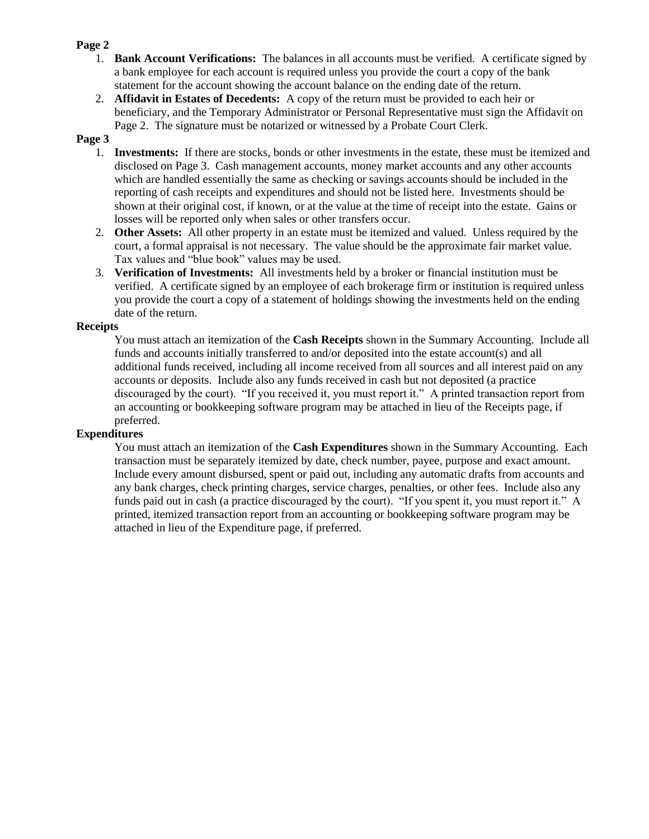## **Page 2**

- 1. **Bank Account Verifications:** The balances in all accounts must be verified. A certificate signed by a bank employee for each account is required unless you provide the court a copy of the bank statement for the account showing the account balance on the ending date of the return.
- 2. **Affidavit in Estates of Decedents:** A copy of the return must be provided to each heir or beneficiary, and the Temporary Administrator or Personal Representative must sign the Affidavit on Page 2. The signature must be notarized or witnessed by a Probate Court Clerk.

## **Page 3**

- 1. **Investments:** If there are stocks, bonds or other investments in the estate, these must be itemized and disclosed on Page 3. Cash management accounts, money market accounts and any other accounts which are handled essentially the same as checking or savings accounts should be included in the reporting of cash receipts and expenditures and should not be listed here. Investments should be shown at their original cost, if known, or at the value at the time of receipt into the estate. Gains or losses will be reported only when sales or other transfers occur.
- 2. **Other Assets:** All other property in an estate must be itemized and valued. Unless required by the court, a formal appraisal is not necessary. The value should be the approximate fair market value. Tax values and "blue book" values may be used.
- 3. **Verification of Investments:** All investments held by a broker or financial institution must be verified. A certificate signed by an employee of each brokerage firm or institution is required unless you provide the court a copy of a statement of holdings showing the investments held on the ending date of the return.

## **Receipts**

You must attach an itemization of the **Cash Receipts** shown in the Summary Accounting. Include all funds and accounts initially transferred to and/or deposited into the estate account(s) and all additional funds received, including all income received from all sources and all interest paid on any accounts or deposits. Include also any funds received in cash but not deposited (a practice discouraged by the court). "If you received it, you must report it." A printed transaction report from an accounting or bookkeeping software program may be attached in lieu of the Receipts page, if preferred.

## **Expenditures**

You must attach an itemization of the **Cash Expenditures** shown in the Summary Accounting. Each transaction must be separately itemized by date, check number, payee, purpose and exact amount. Include every amount disbursed, spent or paid out, including any automatic drafts from accounts and any bank charges, check printing charges, service charges, penalties, or other fees. Include also any funds paid out in cash (a practice discouraged by the court). "If you spent it, you must report it." A printed, itemized transaction report from an accounting or bookkeeping software program may be attached in lieu of the Expenditure page, if preferred.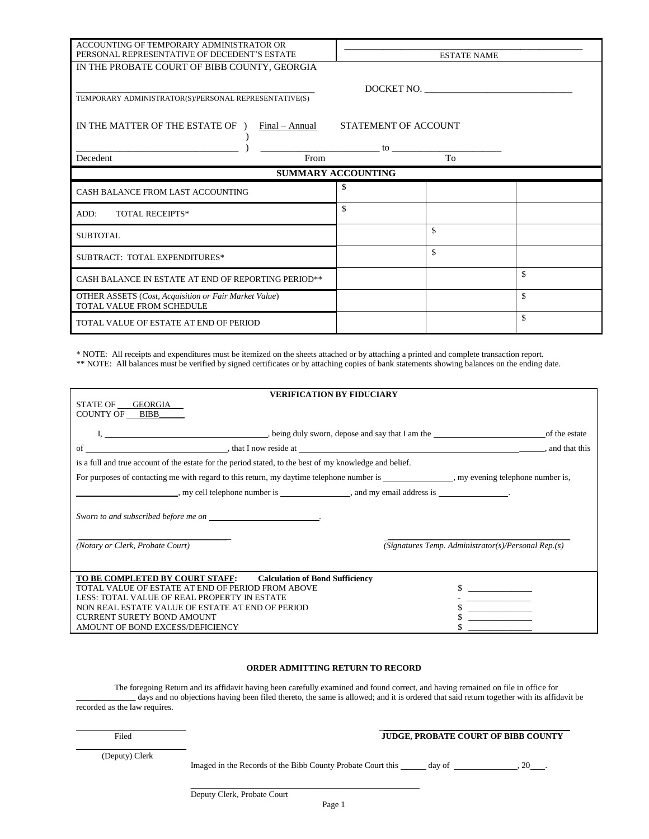| ACCOUNTING OF TEMPORARY ADMINISTRATOR OR<br>PERSONAL REPRESENTATIVE OF DECEDENT'S ESTATE  |            |    | <b>ESTATE NAME</b> |    |
|-------------------------------------------------------------------------------------------|------------|----|--------------------|----|
| IN THE PROBATE COURT OF BIBB COUNTY, GEORGIA                                              |            |    |                    |    |
| TEMPORARY ADMINISTRATOR(S)/PERSONAL REPRESENTATIVE(S)                                     | DOCKET NO. |    |                    |    |
| IN THE MATTER OF THE ESTATE OF )<br>STATEMENT OF ACCOUNT<br>Final – Annual                |            |    |                    |    |
| <b>Decedent</b>                                                                           | From       | to | To                 |    |
| <b>SUMMARY ACCOUNTING</b>                                                                 |            |    |                    |    |
| CASH BALANCE FROM LAST ACCOUNTING                                                         |            | \$ |                    |    |
| <b>TOTAL RECEIPTS*</b><br>ADD:                                                            |            | \$ |                    |    |
| <b>SUBTOTAL</b>                                                                           |            |    | \$                 |    |
| SUBTRACT: TOTAL EXPENDITURES*                                                             |            |    | \$                 |    |
| CASH BALANCE IN ESTATE AT END OF REPORTING PERIOD**                                       |            |    |                    | \$ |
| <b>OTHER ASSETS</b> (Cost, Acquisition or Fair Market Value)<br>TOTAL VALUE FROM SCHEDULE |            |    |                    | \$ |
| TOTAL VALUE OF ESTATE AT END OF PERIOD                                                    |            |    |                    | \$ |

\* NOTE: All receipts and expenditures must be itemized on the sheets attached or by attaching a printed and complete transaction report. \*\* NOTE: All balances must be verified by signed certificates or by attaching copies of bank statements showing balances on the ending date.

| <b>VERIFICATION BY FIDUCIARY</b>                                                                                           |                                                     |  |  |
|----------------------------------------------------------------------------------------------------------------------------|-----------------------------------------------------|--|--|
| STATE OF GEORGIA                                                                                                           |                                                     |  |  |
| COUNTY OF BIBB                                                                                                             |                                                     |  |  |
|                                                                                                                            | of the estate                                       |  |  |
|                                                                                                                            |                                                     |  |  |
|                                                                                                                            |                                                     |  |  |
| is a full and true account of the estate for the period stated, to the best of my knowledge and belief.                    |                                                     |  |  |
| For purposes of contacting me with regard to this return, my daytime telephone number is , my evening telephone number is, |                                                     |  |  |
| $\ldots$ , my cell telephone number is $\ldots$ , and my email address is $\ldots$ .                                       |                                                     |  |  |
| Sworn to and subscribed before me on                                                                                       |                                                     |  |  |
| (Notary or Clerk, Probate Court)                                                                                           | (Signatures Temp. Administrator(s)/Personal Rep.(s) |  |  |
|                                                                                                                            |                                                     |  |  |
| TO BE COMPLETED BY COURT STAFF: Calculation of Bond Sufficiency                                                            |                                                     |  |  |
| TOTAL VALUE OF ESTATE AT END OF PERIOD FROM ABOVE                                                                          |                                                     |  |  |
| LESS: TOTAL VALUE OF REAL PROPERTY IN ESTATE                                                                               |                                                     |  |  |
| NON REAL ESTATE VALUE OF ESTATE AT END OF PERIOD                                                                           |                                                     |  |  |
| <b>CURRENT SURETY BOND AMOUNT</b>                                                                                          |                                                     |  |  |
| AMOUNT OF BOND EXCESS/DEFICIENCY                                                                                           |                                                     |  |  |

#### **ORDER ADMITTING RETURN TO RECORD**

The foregoing Return and its affidavit having been carefully examined and found correct, and having remained on file in office for \_\_\_\_\_\_\_\_\_\_\_\_\_\_ days and no objections having been filed thereto, the same is allowed; and it is ordered that said return together with its affidavit be recorded as the law requires.

| Filed |  |
|-------|--|
|       |  |

#### Filed **JUDGE, PROBATE COURT OF BIBB COUNTY**

(Deputy) Clerk

Imaged in the Records of the Bibb County Probate Court this day of , 20 .

\_\_\_\_\_\_\_\_\_\_\_\_\_\_\_\_\_\_\_\_\_\_\_\_\_\_\_\_\_\_\_\_\_\_\_\_\_\_\_\_\_\_\_\_\_\_\_\_\_\_\_\_\_\_

 $\overline{\phantom{a}}$  , and the contract of the contract of the contract of the contract of the contract of the contract of the contract of the contract of the contract of the contract of the contract of the contract of the contrac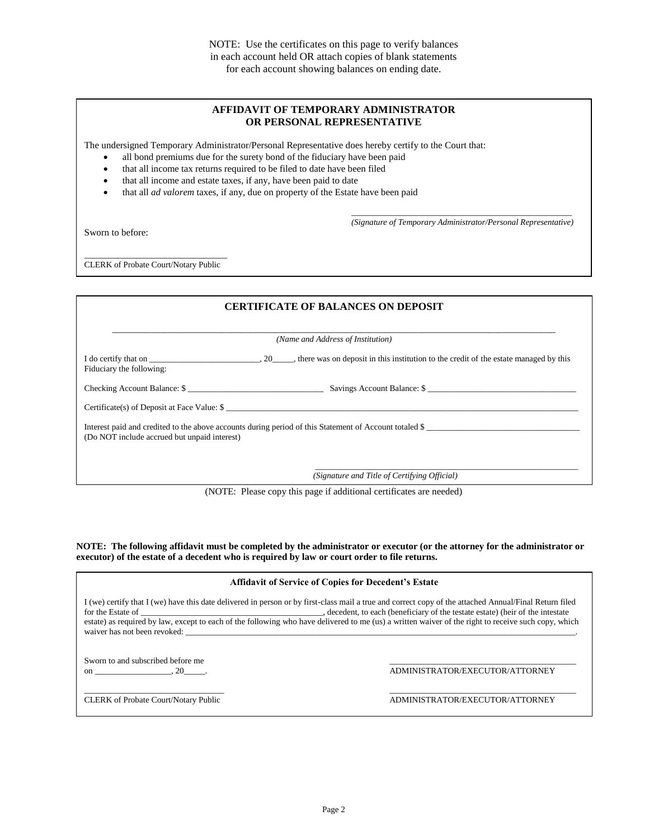#### **AFFIDAVIT OF TEMPORARY ADMINISTRATOR OR PERSONAL REPRESENTATIVE**

The undersigned Temporary Administrator/Personal Representative does hereby certify to the Court that:

- all bond premiums due for the surety bond of the fiduciary have been paid
- that all income tax returns required to be filed to date have been filed
- that all income and estate taxes, if any, have been paid to date
- that all *ad valorem* taxes, if any, due on property of the Estate have been paid

Sworn to before:

\_\_\_\_\_\_\_\_\_\_\_\_\_\_\_\_\_\_\_\_\_\_\_\_\_\_\_\_\_\_\_\_\_\_\_\_\_\_\_\_\_\_\_\_\_\_\_\_\_\_\_\_ *(Signature of Temporary Administrator/Personal Representative)*

\_\_\_\_\_\_\_\_\_\_\_\_\_\_\_\_\_\_\_\_\_\_\_\_\_\_\_\_\_\_ CLERK of Probate Court/Notary Public

|                                              | <b>CERTIFICATE OF BALANCES ON DEPOSIT</b>                                                              |  |
|----------------------------------------------|--------------------------------------------------------------------------------------------------------|--|
| (Name and Address of Institution)            |                                                                                                        |  |
| Fiduciary the following:                     |                                                                                                        |  |
|                                              | Checking Account Balance: \$                                                                           |  |
|                                              | $\text{Certificance}(s)$ of Deposit at Face Value: $\frac{s}{s}$                                       |  |
| (Do NOT include accrued but unpaid interest) | Interest paid and credited to the above accounts during period of this Statement of Account totaled \$ |  |
|                                              | (Signature and Title of Certifying Official)                                                           |  |

(NOTE: Please copy this page if additional certificates are needed)

**NOTE: The following affidavit must be completed by the administrator or executor (or the attorney for the administrator or executor) of the estate of a decedent who is required by law or court order to file returns.**

| <b>Affidavit of Service of Copies for Decedent's Estate</b> |
|-------------------------------------------------------------|
|-------------------------------------------------------------|

I (we) certify that I (we) have this date delivered in person or by first-class mail a true and correct copy of the attached Annual/Final Return filed for the Estate of \_\_\_\_\_\_\_\_\_\_\_\_\_\_\_\_\_\_\_\_\_\_\_\_\_\_\_\_\_\_\_\_\_\_\_\_\_\_\_\_\_\_\_, decedent, to each (beneficiary of the testate estate) (heir of the intestate estate) as required by law, except to each of the following who have delivered to me (us) a written waiver of the right to receive such copy, which waiver has not been revoked:

Sworn to and subscribed before me

on \_\_\_\_\_\_\_\_\_\_\_\_\_\_\_\_, 20\_\_\_\_\_. ADMINISTRATOR/EXECUTOR/ATTORNEY

\_\_\_\_\_\_\_\_\_\_\_\_\_\_\_\_\_\_\_\_\_\_\_\_\_\_\_\_\_\_\_\_\_ \_\_\_\_\_\_\_\_\_\_\_\_\_\_\_\_\_\_\_\_\_\_\_\_\_\_\_\_\_\_\_\_\_\_\_\_\_\_\_\_\_\_\_\_ CLERK of Probate Court/Notary Public ADMINISTRATOR/EXECUTOR/ATTORNEY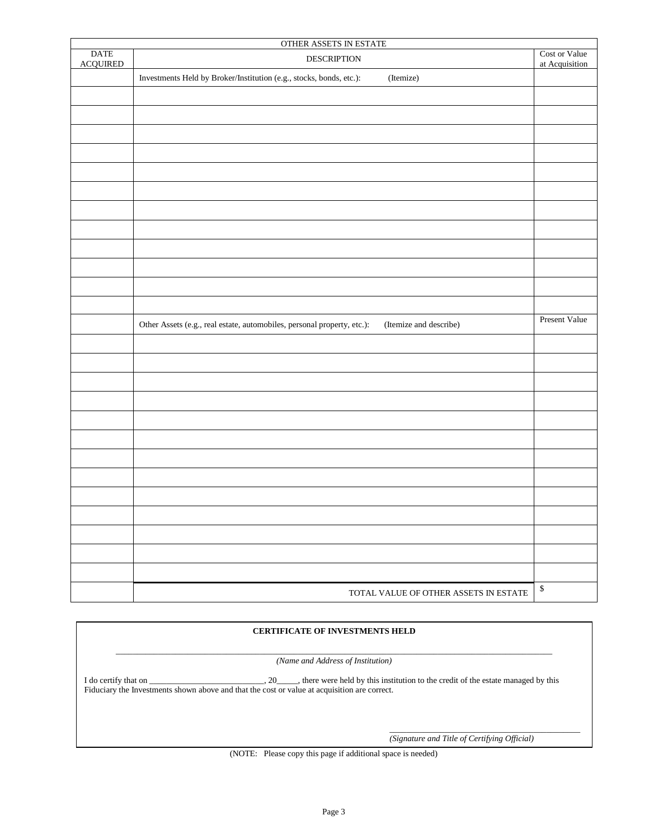| OTHER ASSETS IN ESTATE         |                                                                                                   |                                 |  |
|--------------------------------|---------------------------------------------------------------------------------------------------|---------------------------------|--|
| <b>DATE</b><br><b>ACQUIRED</b> | <b>DESCRIPTION</b>                                                                                | Cost or Value<br>at Acquisition |  |
|                                | Investments Held by Broker/Institution (e.g., stocks, bonds, etc.):<br>(Itemize)                  |                                 |  |
|                                |                                                                                                   |                                 |  |
|                                |                                                                                                   |                                 |  |
|                                |                                                                                                   |                                 |  |
|                                |                                                                                                   |                                 |  |
|                                |                                                                                                   |                                 |  |
|                                |                                                                                                   |                                 |  |
|                                |                                                                                                   |                                 |  |
|                                |                                                                                                   |                                 |  |
|                                |                                                                                                   |                                 |  |
|                                |                                                                                                   |                                 |  |
|                                |                                                                                                   |                                 |  |
|                                |                                                                                                   |                                 |  |
|                                | Other Assets (e.g., real estate, automobiles, personal property, etc.):<br>(Itemize and describe) | Present Value                   |  |
|                                |                                                                                                   |                                 |  |
|                                |                                                                                                   |                                 |  |
|                                |                                                                                                   |                                 |  |
|                                |                                                                                                   |                                 |  |
|                                |                                                                                                   |                                 |  |
|                                |                                                                                                   |                                 |  |
|                                |                                                                                                   |                                 |  |
|                                |                                                                                                   |                                 |  |
|                                |                                                                                                   |                                 |  |
|                                |                                                                                                   |                                 |  |
|                                |                                                                                                   |                                 |  |
|                                |                                                                                                   |                                 |  |
|                                |                                                                                                   |                                 |  |
|                                | TOTAL VALUE OF OTHER ASSETS IN ESTATE                                                             | $\mathbb S$                     |  |

### **CERTIFICATE OF INVESTMENTS HELD**

\_\_\_\_\_\_\_\_\_\_\_\_\_\_\_\_\_\_\_\_\_\_\_\_\_\_\_\_\_\_\_\_\_\_\_\_\_\_\_\_\_\_\_\_\_\_\_\_\_\_\_\_\_\_\_\_\_\_\_\_\_\_\_\_\_\_\_\_\_\_\_\_\_\_\_\_\_\_\_\_\_\_\_\_\_\_\_\_\_\_\_\_\_\_\_\_\_\_\_\_\_\_\_ *(Name and Address of Institution)*

I do certify that on \_\_\_\_\_\_\_\_\_\_\_\_\_\_\_\_\_\_\_\_\_, 20\_\_\_\_, there were held by this institution to the credit of the estate managed by this Fiduciary the Investments shown above and that the cost or value at acquisition are correct.

*(Signature and Title of Certifying Official)*

\_\_\_\_\_\_\_\_\_\_\_\_\_\_\_\_\_\_\_\_\_\_\_\_\_\_\_\_\_\_\_\_\_\_\_\_\_\_\_\_\_\_\_\_\_

(NOTE: Please copy this page if additional space is needed)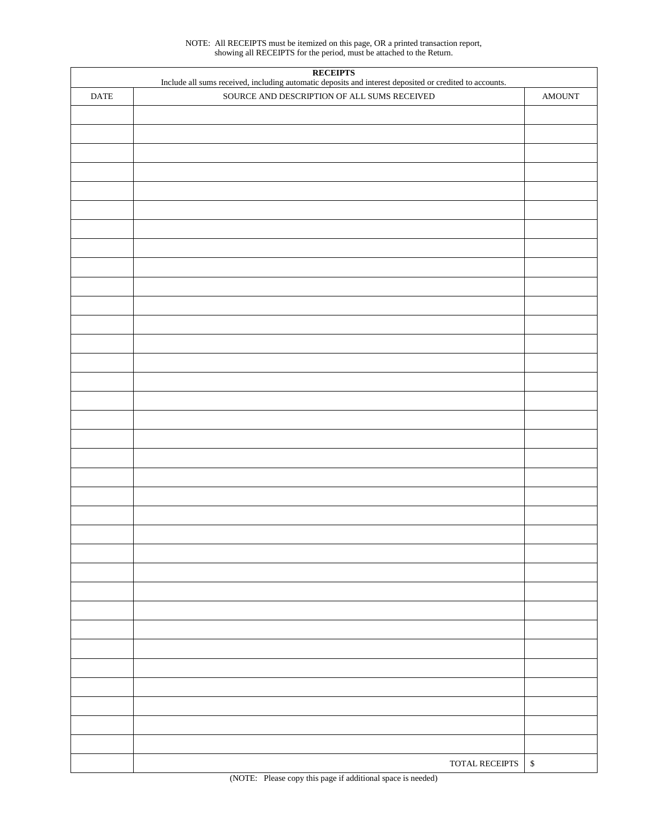NOTE: All RECEIPTS must be itemized on this page, OR a printed transaction report, showing all RECEIPTS for the period, must be attached to the Return.

| <b>RECEIPTS</b><br>Include all sums received, including automatic deposits and interest deposited or credited to accounts. |                                             |                         |  |
|----------------------------------------------------------------------------------------------------------------------------|---------------------------------------------|-------------------------|--|
| <b>DATE</b>                                                                                                                | SOURCE AND DESCRIPTION OF ALL SUMS RECEIVED | $\operatorname{AMOUNT}$ |  |
|                                                                                                                            |                                             |                         |  |
|                                                                                                                            |                                             |                         |  |
|                                                                                                                            |                                             |                         |  |
|                                                                                                                            |                                             |                         |  |
|                                                                                                                            |                                             |                         |  |
|                                                                                                                            |                                             |                         |  |
|                                                                                                                            |                                             |                         |  |
|                                                                                                                            |                                             |                         |  |
|                                                                                                                            |                                             |                         |  |
|                                                                                                                            |                                             |                         |  |
|                                                                                                                            |                                             |                         |  |
|                                                                                                                            |                                             |                         |  |
|                                                                                                                            |                                             |                         |  |
|                                                                                                                            |                                             |                         |  |
|                                                                                                                            |                                             |                         |  |
|                                                                                                                            |                                             |                         |  |
|                                                                                                                            |                                             |                         |  |
|                                                                                                                            |                                             |                         |  |
|                                                                                                                            |                                             |                         |  |
|                                                                                                                            |                                             |                         |  |
|                                                                                                                            |                                             |                         |  |
|                                                                                                                            |                                             |                         |  |
|                                                                                                                            |                                             |                         |  |
|                                                                                                                            |                                             |                         |  |
|                                                                                                                            |                                             |                         |  |
|                                                                                                                            |                                             |                         |  |
|                                                                                                                            |                                             |                         |  |
|                                                                                                                            |                                             |                         |  |
|                                                                                                                            |                                             |                         |  |
|                                                                                                                            |                                             |                         |  |
|                                                                                                                            |                                             |                         |  |
|                                                                                                                            |                                             |                         |  |
|                                                                                                                            |                                             |                         |  |
|                                                                                                                            |                                             |                         |  |
|                                                                                                                            | TOTAL RECEIPTS                              | $\mathbb{S}$            |  |
|                                                                                                                            |                                             |                         |  |